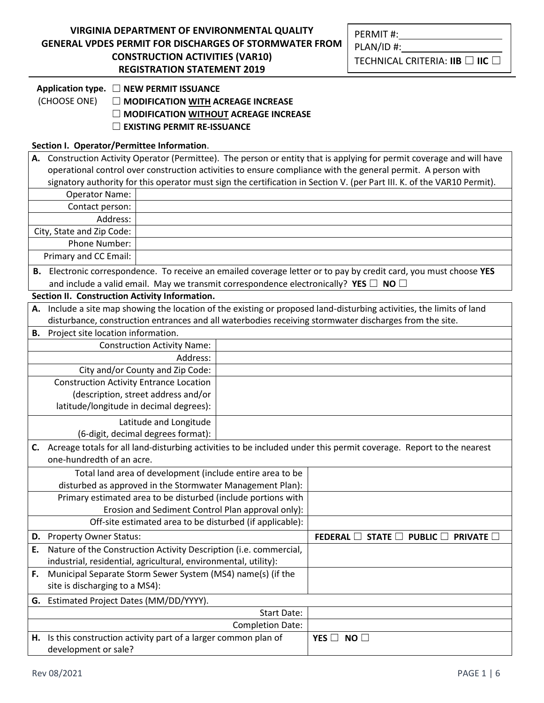| <u>VIRGINIA DEPARTMENT OF ENVIRONMENTAL QUALITY</u>    |
|--------------------------------------------------------|
| GENERAL VPDES PERMIT FOR DISCHARGES OF STORMWATER FROM |
| <b>CONSTRUCTION ACTIVITIES (VAR10)</b>                 |
| <b>REGISTRATION STATEMENT 2019</b>                     |

**Application type.** ☐ **NEW PERMIT ISSUANCE**

(CHOOSE ONE) ☐ **MODIFICATION WITH ACREAGE INCREASE** 

☐ **MODIFICATION WITHOUT ACREAGE INCREASE**

☐ **EXISTING PERMIT RE-ISSUANCE** 

## **Section I. Operator/Permittee Information**.

|                                                               | A. Construction Activity Operator (Permittee). The person or entity that is applying for permit coverage and will have  |                                     |             |                                                                                                                       |  |
|---------------------------------------------------------------|-------------------------------------------------------------------------------------------------------------------------|-------------------------------------|-------------|-----------------------------------------------------------------------------------------------------------------------|--|
|                                                               | operational control over construction activities to ensure compliance with the general permit. A person with            |                                     |             |                                                                                                                       |  |
|                                                               | signatory authority for this operator must sign the certification in Section V. (per Part III. K. of the VAR10 Permit). |                                     |             |                                                                                                                       |  |
|                                                               | <b>Operator Name:</b>                                                                                                   |                                     |             |                                                                                                                       |  |
|                                                               | Contact person:                                                                                                         |                                     |             |                                                                                                                       |  |
|                                                               | Address:                                                                                                                |                                     |             |                                                                                                                       |  |
|                                                               | City, State and Zip Code:                                                                                               |                                     |             |                                                                                                                       |  |
|                                                               | Phone Number:                                                                                                           |                                     |             |                                                                                                                       |  |
|                                                               | Primary and CC Email:                                                                                                   |                                     |             |                                                                                                                       |  |
|                                                               |                                                                                                                         |                                     |             | B. Electronic correspondence. To receive an emailed coverage letter or to pay by credit card, you must choose YES     |  |
|                                                               |                                                                                                                         |                                     |             | and include a valid email. May we transmit correspondence electronically? YES $\Box$ NO $\Box$                        |  |
|                                                               | Section II. Construction Activity Information.                                                                          |                                     |             |                                                                                                                       |  |
|                                                               |                                                                                                                         |                                     |             | A. Include a site map showing the location of the existing or proposed land-disturbing activities, the limits of land |  |
|                                                               |                                                                                                                         |                                     |             | disturbance, construction entrances and all waterbodies receiving stormwater discharges from the site.                |  |
|                                                               | <b>B.</b> Project site location information.                                                                            |                                     |             |                                                                                                                       |  |
| <b>Construction Activity Name:</b>                            |                                                                                                                         |                                     |             |                                                                                                                       |  |
|                                                               | Address:                                                                                                                |                                     |             |                                                                                                                       |  |
|                                                               |                                                                                                                         | City and/or County and Zip Code:    |             |                                                                                                                       |  |
|                                                               | <b>Construction Activity Entrance Location</b>                                                                          |                                     |             |                                                                                                                       |  |
|                                                               |                                                                                                                         | (description, street address and/or |             |                                                                                                                       |  |
|                                                               | latitude/longitude in decimal degrees):                                                                                 |                                     |             |                                                                                                                       |  |
|                                                               |                                                                                                                         | Latitude and Longitude              |             |                                                                                                                       |  |
|                                                               |                                                                                                                         | (6-digit, decimal degrees format):  |             |                                                                                                                       |  |
| C.                                                            | Acreage totals for all land-disturbing activities to be included under this permit coverage. Report to the nearest      |                                     |             |                                                                                                                       |  |
|                                                               | one-hundredth of an acre.                                                                                               |                                     |             |                                                                                                                       |  |
| Total land area of development (include entire area to be     |                                                                                                                         |                                     |             |                                                                                                                       |  |
| disturbed as approved in the Stormwater Management Plan):     |                                                                                                                         |                                     |             |                                                                                                                       |  |
| Primary estimated area to be disturbed (include portions with |                                                                                                                         |                                     |             |                                                                                                                       |  |
| Erosion and Sediment Control Plan approval only):             |                                                                                                                         |                                     |             |                                                                                                                       |  |
| Off-site estimated area to be disturbed (if applicable):      |                                                                                                                         |                                     |             |                                                                                                                       |  |
|                                                               | D. Property Owner Status:                                                                                               |                                     |             | FEDERAL $\Box$<br><b>STATE</b><br><b>PUBLIC</b><br><b>PRIVATE</b>                                                     |  |
| E.                                                            | Nature of the Construction Activity Description (i.e. commercial,                                                       |                                     |             |                                                                                                                       |  |
|                                                               | industrial, residential, agricultural, environmental, utility):                                                         |                                     |             |                                                                                                                       |  |
| F.                                                            | Municipal Separate Storm Sewer System (MS4) name(s) (if the                                                             |                                     |             |                                                                                                                       |  |
| site is discharging to a MS4):                                |                                                                                                                         |                                     |             |                                                                                                                       |  |
| G.                                                            | Estimated Project Dates (MM/DD/YYYY).                                                                                   |                                     |             |                                                                                                                       |  |
|                                                               |                                                                                                                         |                                     | Start Date: |                                                                                                                       |  |
| <b>Completion Date:</b>                                       |                                                                                                                         |                                     |             |                                                                                                                       |  |
|                                                               | H. Is this construction activity part of a larger common plan of                                                        |                                     |             | NO<br>YES $\Box$                                                                                                      |  |
| development or sale?                                          |                                                                                                                         |                                     |             |                                                                                                                       |  |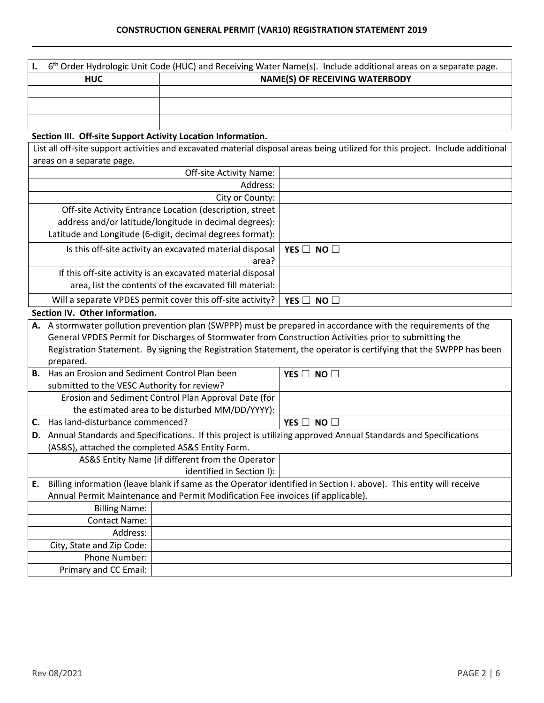| $6th$ Order Hydrologic Unit Code (HUC) and Receiving Water Name(s). Include additional areas on a separate page. |                                       |  |  |
|------------------------------------------------------------------------------------------------------------------|---------------------------------------|--|--|
| <b>HUC</b>                                                                                                       | <b>NAME(S) OF RECEIVING WATERBODY</b> |  |  |
|                                                                                                                  |                                       |  |  |
|                                                                                                                  |                                       |  |  |
|                                                                                                                  |                                       |  |  |

## **Section III. Off-site Support Activity Location Information.**

List all off-site support activities and excavated material disposal areas being utilized for this project. Include additional areas on a separate page.

| Off-site Activity Name:                                     |                      |  |  |  |
|-------------------------------------------------------------|----------------------|--|--|--|
| Address:                                                    |                      |  |  |  |
| City or County:                                             |                      |  |  |  |
| Off-site Activity Entrance Location (description, street    |                      |  |  |  |
| address and/or latitude/longitude in decimal degrees):      |                      |  |  |  |
| Latitude and Longitude (6-digit, decimal degrees format):   |                      |  |  |  |
| Is this off-site activity an excavated material disposal    | YES $\Box$ NO $\Box$ |  |  |  |
| area?                                                       |                      |  |  |  |
| If this off-site activity is an excavated material disposal |                      |  |  |  |
| area, list the contents of the excavated fill material:     |                      |  |  |  |
| Will a separate VPDES permit cover this off-site activity?  | YES $\Box$ NO $\Box$ |  |  |  |
|                                                             |                      |  |  |  |

## **Section IV. Other Information.**

|    | A. A stormwater pollution prevention plan (SWPPP) must be prepared in accordance with the requirements of the      |                                                      |                      |  |
|----|--------------------------------------------------------------------------------------------------------------------|------------------------------------------------------|----------------------|--|
|    |                                                                                                                    |                                                      |                      |  |
|    | General VPDES Permit for Discharges of Stormwater from Construction Activities prior to submitting the             |                                                      |                      |  |
|    | Registration Statement. By signing the Registration Statement, the operator is certifying that the SWPPP has been  |                                                      |                      |  |
|    | prepared.                                                                                                          |                                                      |                      |  |
| В. | Has an Erosion and Sediment Control Plan been                                                                      |                                                      | YES $\Box$ NO $\Box$ |  |
|    | submitted to the VESC Authority for review?                                                                        |                                                      |                      |  |
|    |                                                                                                                    | Erosion and Sediment Control Plan Approval Date (for |                      |  |
|    |                                                                                                                    | the estimated area to be disturbed MM/DD/YYYY):      |                      |  |
| C. | Has land-disturbance commenced?                                                                                    |                                                      | YES $\Box$ NO $\Box$ |  |
| D. | Annual Standards and Specifications. If this project is utilizing approved Annual Standards and Specifications     |                                                      |                      |  |
|    | (AS&S), attached the completed AS&S Entity Form.                                                                   |                                                      |                      |  |
|    | AS&S Entity Name (if different from the Operator                                                                   |                                                      |                      |  |
|    | identified in Section I):                                                                                          |                                                      |                      |  |
| E. | Billing information (leave blank if same as the Operator identified in Section I. above). This entity will receive |                                                      |                      |  |
|    | Annual Permit Maintenance and Permit Modification Fee invoices (if applicable).                                    |                                                      |                      |  |
|    | <b>Billing Name:</b>                                                                                               |                                                      |                      |  |
|    | <b>Contact Name:</b>                                                                                               |                                                      |                      |  |
|    | Address:                                                                                                           |                                                      |                      |  |
|    | City, State and Zip Code:                                                                                          |                                                      |                      |  |
|    | <b>Phone Number:</b>                                                                                               |                                                      |                      |  |
|    | Primary and CC Email:                                                                                              |                                                      |                      |  |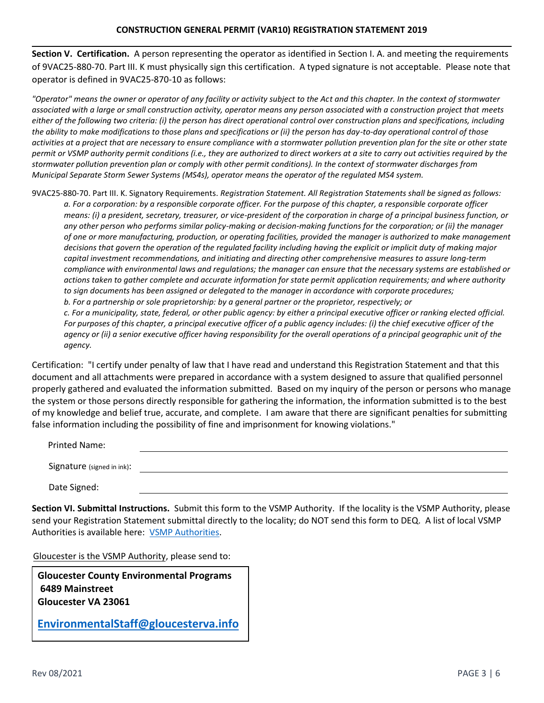**Section V. Certification.** A person representing the operator as identified in Section I. A. and meeting the requirements of 9VAC25-880-70. Part III. K must physically sign this certification. A typed signature is not acceptable. Please note that operator is defined in 9VAC25-870-10 as follows:

*"Operator" means the owner or operator of any facility or activity subject to the Act and this chapter. In the context of stormwater associated with a large or small construction activity, operator means any person associated with a construction project that meets either of the following two criteria: (i) the person has direct operational control over construction plans and specifications, including the ability to make modifications to those plans and specifications or (ii) the person has day-to-day operational control of those activities at a project that are necessary to ensure compliance with a stormwater pollution prevention plan for the site or other state permit or VSMP authority permit conditions (i.e., they are authorized to direct workers at a site to carry out activities required by the stormwater pollution prevention plan or comply with other permit conditions). In the context of stormwater discharges from Municipal Separate Storm Sewer Systems (MS4s), operator means the operator of the regulated MS4 system.*

9VAC25-880-70. Part III. K. Signatory Requirements. *Registration Statement. All Registration Statements shall be signed as follows: a. For a corporation: by a responsible corporate officer. For the purpose of this chapter, a responsible corporate officer means: (i) a president, secretary, treasurer, or vice-president of the corporation in charge of a principal business function, or any other person who performs similar policy-making or decision-making functions for the corporation; or (ii) the manager of one or more manufacturing, production, or operating facilities, provided the manager is authorized to make management decisions that govern the operation of the regulated facility including having the explicit or implicit duty of making major capital investment recommendations, and initiating and directing other comprehensive measures to assure long-term compliance with environmental laws and regulations; the manager can ensure that the necessary systems are established or actions taken to gather complete and accurate information for state permit application requirements; and where authority to sign documents has been assigned or delegated to the manager in accordance with corporate procedures; b. For a partnership or sole proprietorship: by a general partner or the proprietor, respectively; or c. For a municipality, state, federal, or other public agency: by either a principal executive officer or ranking elected official. For purposes of this chapter, a principal executive officer of a public agency includes: (i) the chief executive officer of the agency or (ii) a senior executive officer having responsibility for the overall operations of a principal geographic unit of the agency.* 

Certification: "I certify under penalty of law that I have read and understand this Registration Statement and that this document and all attachments were prepared in accordance with a system designed to assure that qualified personnel properly gathered and evaluated the information submitted. Based on my inquiry of the person or persons who manage the system or those persons directly responsible for gathering the information, the information submitted is to the best of my knowledge and belief true, accurate, and complete. I am aware that there are significant penalties for submitting false information including the possibility of fine and imprisonment for knowing violations."

| Printed Name:              |  |  |
|----------------------------|--|--|
| Signature (signed in ink): |  |  |
| Date Signed:               |  |  |

**Section VI. Submittal Instructions.** Submit this form to the VSMP Authority. If the locality is the VSMP Authority, please send your Registration Statement submittal directly to the locality; do NOT send this form to DEQ. A list of local VSMP Authorities is available here: [VSMP Authorities.](https://www.deq.virginia.gov/Portals/0/DEQ/Water/StormwaterManagement/CGP%20Links/VSMP%20Authority%20List.xlsx?ver=2017-12-01-085039-713)

Gloucester is the VSMP Authority, please send to:

**Gloucester County Environmental Programs 6489 Mainstreet Gloucester VA 23061**

**[EnvironmentalStaff@gloucesterv](mailto:constructiongp@deq.virginia.gov)a.info**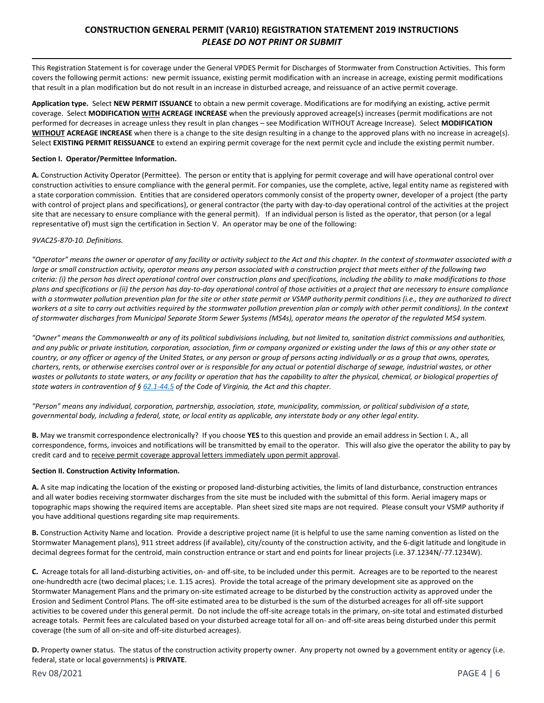## **CONSTRUCTION GENERAL PERMIT (VAR10) REGISTRATION STATEMENT 2019 INSTRUCTIONS** *PLEASE DO NOT PRINT OR SUBMIT*

This Registration Statement is for coverage under the General VPDES Permit for Discharges of Stormwater from Construction Activities. This form covers the following permit actions: new permit issuance, existing permit modification with an increase in acreage, existing permit modifications that result in a plan modification but do not result in an increase in disturbed acreage, and reissuance of an active permit coverage.

**Application type.** Select **NEW PERMIT ISSUANCE** to obtain a new permit coverage. Modifications are for modifying an existing, active permit coverage. Select **MODIFICATION WITH ACREAGE INCREASE** when the previously approved acreage(s) increases (permit modifications are not performed for decreases in acreage unless they result in plan changes – see Modification WITHOUT Acreage Increase). Select **MODIFICATION WITHOUT ACREAGE INCREASE** when there is a change to the site design resulting in a change to the approved plans with no increase in acreage(s). Select **EXISTING PERMIT REISSUANCE** to extend an expiring permit coverage for the next permit cycle and include the existing permit number.

#### **Section I. Operator/Permittee Information.**

**A.** Construction Activity Operator (Permittee). The person or entity that is applying for permit coverage and will have operational control over construction activities to ensure compliance with the general permit. For companies, use the complete, active, legal entity name as registered with a state corporation commission. Entities that are considered operators commonly consist of the property owner, developer of a project (the party with control of project plans and specifications), or general contractor (the party with day-to-day operational control of the activities at the project site that are necessary to ensure compliance with the general permit). If an individual person is listed as the operator, that person (or a legal representative of) must sign the certification in Section V. An operator may be one of the following:

### *9VAC25-870-10. Definitions.*

*"Operator" means the owner or operator of any facility or activity subject to the Act and this chapter. In the context of stormwater associated with a large or small construction activity, operator means any person associated with a construction project that meets either of the following two criteria: (i) the person has direct operational control over construction plans and specifications, including the ability to make modifications to those plans and specifications or (ii) the person has day-to-day operational control of those activities at a project that are necessary to ensure compliance with a stormwater pollution prevention plan for the site or other state permit or VSMP authority permit conditions (i.e., they are authorized to direct workers at a site to carry out activities required by the stormwater pollution prevention plan or comply with other permit conditions). In the context of stormwater discharges from Municipal Separate Storm Sewer Systems (MS4s), operator means the operator of the regulated MS4 system.*

*"Owner" means the Commonwealth or any of its political subdivisions including, but not limited to, sanitation district commissions and authorities, and any public or private institution, corporation, association, firm or company organized or existing under the laws of this or any other state or country, or any officer or agency of the United States, or any person or group of persons acting individually or as a group that owns, operates, charters, rents, or otherwise exercises control over or is responsible for any actual or potential discharge of sewage, industrial wastes, or other*  wastes or pollutants to state waters, or any facility or operation that has the capability to alter the physical, chemical, or biological properties of *state waters in contravention of § [62.1-44.5](http://law.lis.virginia.gov/vacode/62.1-44.5/) of the Code of Virginia, the Act and this chapter.*

*"Person" means any individual, corporation, partnership, association, state, municipality, commission, or political subdivision of a state, governmental body, including a federal, state, or local entity as applicable, any interstate body or any other legal entity.*

**B.** May we transmit correspondence electronically? If you choose **YES** to this question and provide an email address in Section I. A., all correspondence, forms, invoices and notifications will be transmitted by email to the operator. This will also give the operator the ability to pay by credit card and to receive permit coverage approval letters immediately upon permit approval.

### **Section II. Construction Activity Information.**

**A.** A site map indicating the location of the existing or proposed land-disturbing activities, the limits of land disturbance, construction entrances and all water bodies receiving stormwater discharges from the site must be included with the submittal of this form. Aerial imagery maps or topographic maps showing the required items are acceptable. Plan sheet sized site maps are not required. Please consult your VSMP authority if you have additional questions regarding site map requirements.

**B.** Construction Activity Name and location. Provide a descriptive project name (it is helpful to use the same naming convention as listed on the Stormwater Management plans), 911 street address (if available), city/county of the construction activity, and the 6-digit latitude and longitude in decimal degrees format for the centroid, main construction entrance or start and end points for linear projects (i.e. 37.1234N/-77.1234W).

**C.** Acreage totals for all land-disturbing activities, on- and off-site, to be included under this permit. Acreages are to be reported to the nearest one-hundredth acre (two decimal places; i.e. 1.15 acres). Provide the total acreage of the primary development site as approved on the Stormwater Management Plans and the primary on-site estimated acreage to be disturbed by the construction activity as approved under the Erosion and Sediment Control Plans. The off-site estimated area to be disturbed is the sum of the disturbed acreages for all off-site support activities to be covered under this general permit. Do not include the off-site acreage totals in the primary, on-site total and estimated disturbed acreage totals. Permit fees are calculated based on your disturbed acreage total for all on- and off-site areas being disturbed under this permit coverage (the sum of all on-site and off-site disturbed acreages).

**D.** Property owner status. The status of the construction activity property owner. Any property not owned by a government entity or agency (i.e. federal, state or local governments) is **PRIVATE**.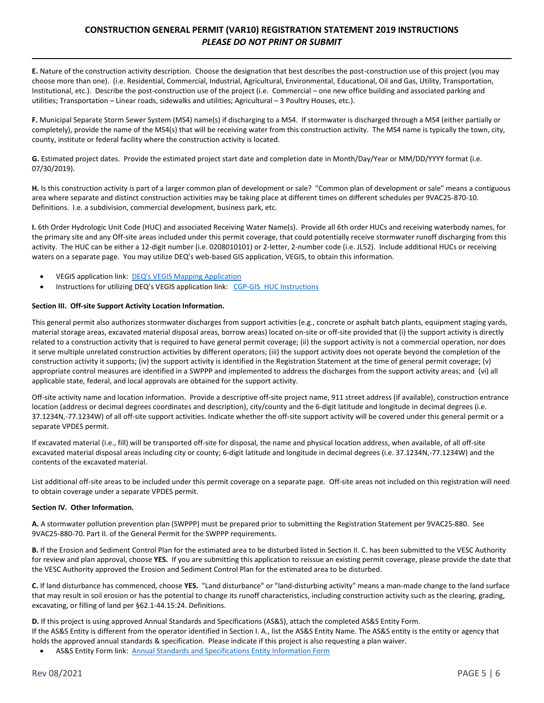## **CONSTRUCTION GENERAL PERMIT (VAR10) REGISTRATION STATEMENT 2019 INSTRUCTIONS** *PLEASE DO NOT PRINT OR SUBMIT*

**E.** Nature of the construction activity description. Choose the designation that best describes the post-construction use of this project (you may choose more than one). (i.e. Residential, Commercial, Industrial, Agricultural, Environmental, Educational, Oil and Gas, Utility, Transportation, Institutional, etc.). Describe the post-construction use of the project (i.e. Commercial – one new office building and associated parking and utilities; Transportation – Linear roads, sidewalks and utilities; Agricultural – 3 Poultry Houses, etc.).

**F.** Municipal Separate Storm Sewer System (MS4) name(s) if discharging to a MS4. If stormwater is discharged through a MS4 (either partially or completely), provide the name of the MS4(s) that will be receiving water from this construction activity. The MS4 name is typically the town, city, county, institute or federal facility where the construction activity is located.

**G.** Estimated project dates. Provide the estimated project start date and completion date in Month/Day/Year or MM/DD/YYYY format (i.e. 07/30/2019).

**H.** Is this construction activity is part of a larger common plan of development or sale? "Common plan of development or sale" means a contiguous area where separate and distinct construction activities may be taking place at different times on different schedules per 9VAC25-870-10. Definitions. I.e. a subdivision, commercial development, business park, etc.

**I.** 6th Order Hydrologic Unit Code (HUC) and associated Receiving Water Name(s). Provide all 6th order HUCs and receiving waterbody names, for the primary site and any Off-site areas included under this permit coverage, that could potentially receive stormwater runoff discharging from this activity. The HUC can be either a 12-digit number (i.e. 0208010101) or 2-letter, 2-number code (i.e. JL52). Include additional HUCs or receiving waters on a separate page. You may utilize DEQ's web-based GIS application, VEGIS, to obtain this information.

- VEGIS application link: [DEQ's VEGIS Mapping Application](https://apps.deq.virginia.gov/mapper_ext/?service=public/wimby)
- **Instructions for utilizing DEQ's VEGIS application link: CGP-GIS [HUC Instructions](https://www.deq.virginia.gov/Portals/0/DEQ/Water/Publications/CGP-GIS_HUC_Instructions.pdf)**

### **Section III. Off-site Support Activity Location Information.**

This general permit also authorizes stormwater discharges from support activities (e.g., concrete or asphalt batch plants, equipment staging yards, material storage areas, excavated material disposal areas, borrow areas) located on-site or off-site provided that (i) the support activity is directly related to a construction activity that is required to have general permit coverage; (ii) the support activity is not a commercial operation, nor does it serve multiple unrelated construction activities by different operators; (iii) the support activity does not operate beyond the completion of the construction activity it supports; (iv) the support activity is identified in the Registration Statement at the time of general permit coverage; (v) appropriate control measures are identified in a SWPPP and implemented to address the discharges from the support activity areas; and (vi) all applicable state, federal, and local approvals are obtained for the support activity.

Off-site activity name and location information. Provide a descriptive off-site project name, 911 street address (if available), construction entrance location (address or decimal degrees coordinates and description), city/county and the 6-digit latitude and longitude in decimal degrees (i.e. 37.1234N,-77.1234W) of all off-site support activities. Indicate whether the off-site support activity will be covered under this general permit or a separate VPDES permit.

If excavated material (i.e., fill) will be transported off-site for disposal, the name and physical location address, when available, of all off-site excavated material disposal areas including city or county; 6-digit latitude and longitude in decimal degrees (i.e. 37.1234N,-77.1234W) and the contents of the excavated material.

List additional off-site areas to be included under this permit coverage on a separate page. Off-site areas not included on this registration will need to obtain coverage under a separate VPDES permit.

#### **Section IV. Other Information.**

**A.** A stormwater pollution prevention plan (SWPPP) must be prepared prior to submitting the Registration Statement per 9VAC25-880. See 9VAC25-880-70. Part II. of the General Permit for the SWPPP requirements.

**B.** If the Erosion and Sediment Control Plan for the estimated area to be disturbed listed in Section II. C. has been submitted to the VESC Authority for review and plan approval, choose **YES.** If you are submitting this application to reissue an existing permit coverage, please provide the date that the VESC Authority approved the Erosion and Sediment Control Plan for the estimated area to be disturbed.

**C.** If land disturbance has commenced, choose **YES.** "Land disturbance" or "land-disturbing activity" means a man-made change to the land surface that may result in soil erosion or has the potential to change its runoff characteristics, including construction activity such as the clearing, grading, excavating, or filling of land per §62.1-44.15:24. Definitions.

**D.** If this project is using approved Annual Standards and Specifications (AS&S), attach the completed AS&S Entity Form. If the AS&S Entity is different from the operator identified in Section I. A., list the AS&S Entity Name. The AS&S entity is the entity or agency that holds the approved annual standards & specification. Please indicate if this project is also requesting a plan waiver.

AS&S Entity Form link: [Annual Standards and Specifications Entity Information Form](https://www.deq.virginia.gov/Portals/0/DEQ/Water/StormwaterManagement/CGP%20Links/ASSEntityInfo_2016-12.pdf?ver=2017-12-01-082345-853)